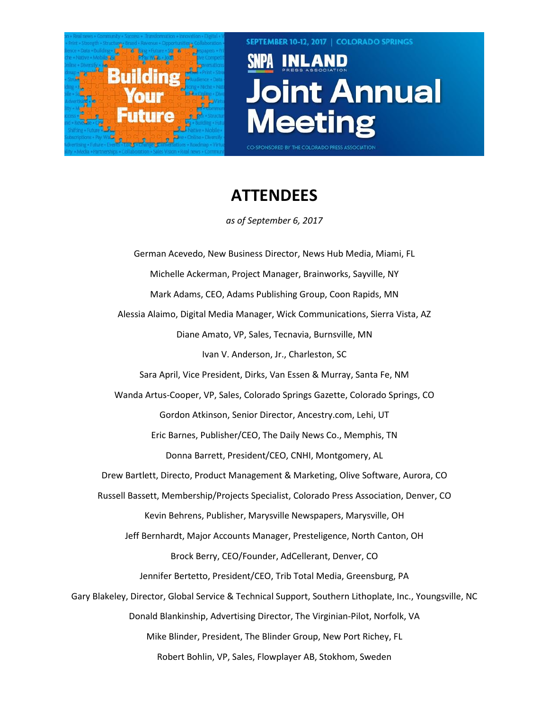

**SEPTEMBER 10-12, 2017 | COLORADO SPRINGS** 

CO-SPONSORED BY THE COLORADO PRESS ASSOCIATION

## Joint Annual *leeting*

## **ATTENDEES**

*as of September 6, 2017*

German Acevedo, New Business Director, News Hub Media, Miami, FL Michelle Ackerman, Project Manager, Brainworks, Sayville, NY Mark Adams, CEO, Adams Publishing Group, Coon Rapids, MN Alessia Alaimo, Digital Media Manager, Wick Communications, Sierra Vista, AZ Diane Amato, VP, Sales, Tecnavia, Burnsville, MN Ivan V. Anderson, Jr., Charleston, SC Sara April, Vice President, Dirks, Van Essen & Murray, Santa Fe, NM Wanda Artus-Cooper, VP, Sales, Colorado Springs Gazette, Colorado Springs, CO Gordon Atkinson, Senior Director, Ancestry.com, Lehi, UT Eric Barnes, Publisher/CEO, The Daily News Co., Memphis, TN Donna Barrett, President/CEO, CNHI, Montgomery, AL Drew Bartlett, Directo, Product Management & Marketing, Olive Software, Aurora, CO Russell Bassett, Membership/Projects Specialist, Colorado Press Association, Denver, CO Kevin Behrens, Publisher, Marysville Newspapers, Marysville, OH Jeff Bernhardt, Major Accounts Manager, Presteligence, North Canton, OH Brock Berry, CEO/Founder, AdCellerant, Denver, CO Jennifer Bertetto, President/CEO, Trib Total Media, Greensburg, PA Gary Blakeley, Director, Global Service & Technical Support, Southern Lithoplate, Inc., Youngsville, NC Donald Blankinship, Advertising Director, The Virginian-Pilot, Norfolk, VA Mike Blinder, President, The Blinder Group, New Port Richey, FL Robert Bohlin, VP, Sales, Flowplayer AB, Stokhom, Sweden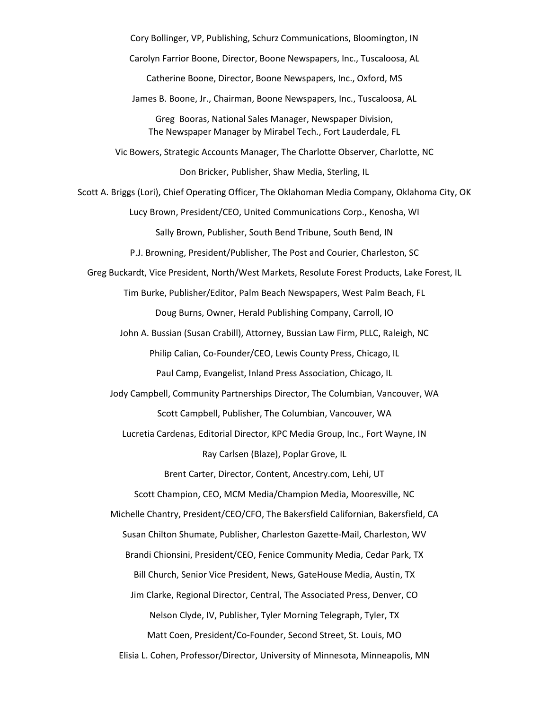Cory Bollinger, VP, Publishing, Schurz Communications, Bloomington, IN Carolyn Farrior Boone, Director, Boone Newspapers, Inc., Tuscaloosa, AL Catherine Boone, Director, Boone Newspapers, Inc., Oxford, MS James B. Boone, Jr., Chairman, Boone Newspapers, Inc., Tuscaloosa, AL Greg Booras, National Sales Manager, Newspaper Division, The Newspaper Manager by Mirabel Tech., Fort Lauderdale, FL Vic Bowers, Strategic Accounts Manager, The Charlotte Observer, Charlotte, NC Don Bricker, Publisher, Shaw Media, Sterling, IL Scott A. Briggs (Lori), Chief Operating Officer, The Oklahoman Media Company, Oklahoma City, OK Lucy Brown, President/CEO, United Communications Corp., Kenosha, WI Sally Brown, Publisher, South Bend Tribune, South Bend, IN P.J. Browning, President/Publisher, The Post and Courier, Charleston, SC Greg Buckardt, Vice President, North/West Markets, Resolute Forest Products, Lake Forest, IL Tim Burke, Publisher/Editor, Palm Beach Newspapers, West Palm Beach, FL Doug Burns, Owner, Herald Publishing Company, Carroll, IO John A. Bussian (Susan Crabill), Attorney, Bussian Law Firm, PLLC, Raleigh, NC Philip Calian, Co-Founder/CEO, Lewis County Press, Chicago, IL Paul Camp, Evangelist, Inland Press Association, Chicago, IL Jody Campbell, Community Partnerships Director, The Columbian, Vancouver, WA Scott Campbell, Publisher, The Columbian, Vancouver, WA Lucretia Cardenas, Editorial Director, KPC Media Group, Inc., Fort Wayne, IN Ray Carlsen (Blaze), Poplar Grove, IL Brent Carter, Director, Content, Ancestry.com, Lehi, UT Scott Champion, CEO, MCM Media/Champion Media, Mooresville, NC Michelle Chantry, President/CEO/CFO, The Bakersfield Californian, Bakersfield, CA Susan Chilton Shumate, Publisher, Charleston Gazette-Mail, Charleston, WV Brandi Chionsini, President/CEO, Fenice Community Media, Cedar Park, TX Bill Church, Senior Vice President, News, GateHouse Media, Austin, TX Jim Clarke, Regional Director, Central, The Associated Press, Denver, CO Nelson Clyde, IV, Publisher, Tyler Morning Telegraph, Tyler, TX Matt Coen, President/Co-Founder, Second Street, St. Louis, MO Elisia L. Cohen, Professor/Director, University of Minnesota, Minneapolis, MN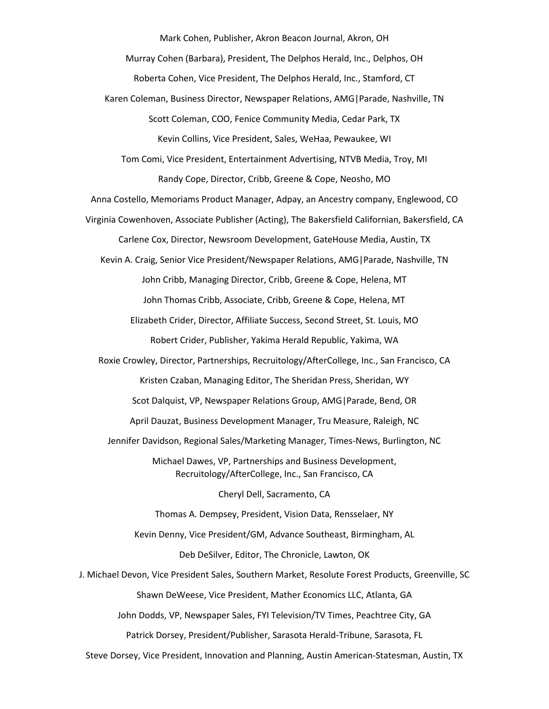Mark Cohen, Publisher, Akron Beacon Journal, Akron, OH

Murray Cohen (Barbara), President, The Delphos Herald, Inc., Delphos, OH

Roberta Cohen, Vice President, The Delphos Herald, Inc., Stamford, CT

Karen Coleman, Business Director, Newspaper Relations, AMG|Parade, Nashville, TN

Scott Coleman, COO, Fenice Community Media, Cedar Park, TX

Kevin Collins, Vice President, Sales, WeHaa, Pewaukee, WI

Tom Comi, Vice President, Entertainment Advertising, NTVB Media, Troy, MI Randy Cope, Director, Cribb, Greene & Cope, Neosho, MO

Anna Costello, Memoriams Product Manager, Adpay, an Ancestry company, Englewood, CO

Virginia Cowenhoven, Associate Publisher (Acting), The Bakersfield Californian, Bakersfield, CA Carlene Cox, Director, Newsroom Development, GateHouse Media, Austin, TX

Kevin A. Craig, Senior Vice President/Newspaper Relations, AMG|Parade, Nashville, TN John Cribb, Managing Director, Cribb, Greene & Cope, Helena, MT John Thomas Cribb, Associate, Cribb, Greene & Cope, Helena, MT

Elizabeth Crider, Director, Affiliate Success, Second Street, St. Louis, MO Robert Crider, Publisher, Yakima Herald Republic, Yakima, WA

Roxie Crowley, Director, Partnerships, Recruitology/AfterCollege, Inc., San Francisco, CA Kristen Czaban, Managing Editor, The Sheridan Press, Sheridan, WY Scot Dalquist, VP, Newspaper Relations Group, AMG|Parade, Bend, OR April Dauzat, Business Development Manager, Tru Measure, Raleigh, NC

Jennifer Davidson, Regional Sales/Marketing Manager, Times-News, Burlington, NC

Michael Dawes, VP, Partnerships and Business Development, Recruitology/AfterCollege, Inc., San Francisco, CA

Cheryl Dell, Sacramento, CA

Thomas A. Dempsey, President, Vision Data, Rensselaer, NY Kevin Denny, Vice President/GM, Advance Southeast, Birmingham, AL

Deb DeSilver, Editor, The Chronicle, Lawton, OK

J. Michael Devon, Vice President Sales, Southern Market, Resolute Forest Products, Greenville, SC Shawn DeWeese, Vice President, Mather Economics LLC, Atlanta, GA

John Dodds, VP, Newspaper Sales, FYI Television/TV Times, Peachtree City, GA

Patrick Dorsey, President/Publisher, Sarasota Herald-Tribune, Sarasota, FL

Steve Dorsey, Vice President, Innovation and Planning, Austin American-Statesman, Austin, TX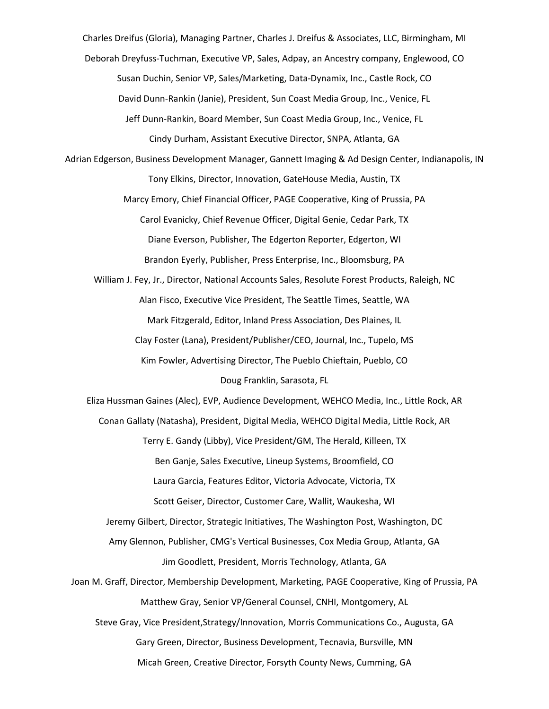Charles Dreifus (Gloria), Managing Partner, Charles J. Dreifus & Associates, LLC, Birmingham, MI

Deborah Dreyfuss-Tuchman, Executive VP, Sales, Adpay, an Ancestry company, Englewood, CO

Susan Duchin, Senior VP, Sales/Marketing, Data-Dynamix, Inc., Castle Rock, CO

David Dunn-Rankin (Janie), President, Sun Coast Media Group, Inc., Venice, FL

Jeff Dunn-Rankin, Board Member, Sun Coast Media Group, Inc., Venice, FL Cindy Durham, Assistant Executive Director, SNPA, Atlanta, GA

Adrian Edgerson, Business Development Manager, Gannett Imaging & Ad Design Center, Indianapolis, IN Tony Elkins, Director, Innovation, GateHouse Media, Austin, TX

> Marcy Emory, Chief Financial Officer, PAGE Cooperative, King of Prussia, PA Carol Evanicky, Chief Revenue Officer, Digital Genie, Cedar Park, TX Diane Everson, Publisher, The Edgerton Reporter, Edgerton, WI Brandon Eyerly, Publisher, Press Enterprise, Inc., Bloomsburg, PA

William J. Fey, Jr., Director, National Accounts Sales, Resolute Forest Products, Raleigh, NC Alan Fisco, Executive Vice President, The Seattle Times, Seattle, WA Mark Fitzgerald, Editor, Inland Press Association, Des Plaines, IL Clay Foster (Lana), President/Publisher/CEO, Journal, Inc., Tupelo, MS

> Kim Fowler, Advertising Director, The Pueblo Chieftain, Pueblo, CO Doug Franklin, Sarasota, FL

Eliza Hussman Gaines (Alec), EVP, Audience Development, WEHCO Media, Inc., Little Rock, AR Conan Gallaty (Natasha), President, Digital Media, WEHCO Digital Media, Little Rock, AR Terry E. Gandy (Libby), Vice President/GM, The Herald, Killeen, TX Ben Ganje, Sales Executive, Lineup Systems, Broomfield, CO Laura Garcia, Features Editor, Victoria Advocate, Victoria, TX Scott Geiser, Director, Customer Care, Wallit, Waukesha, WI Jeremy Gilbert, Director, Strategic Initiatives, The Washington Post, Washington, DC Amy Glennon, Publisher, CMG's Vertical Businesses, Cox Media Group, Atlanta, GA Jim Goodlett, President, Morris Technology, Atlanta, GA Joan M. Graff, Director, Membership Development, Marketing, PAGE Cooperative, King of Prussia, PA Matthew Gray, Senior VP/General Counsel, CNHI, Montgomery, AL

Steve Gray, Vice President,Strategy/Innovation, Morris Communications Co., Augusta, GA Gary Green, Director, Business Development, Tecnavia, Bursville, MN Micah Green, Creative Director, Forsyth County News, Cumming, GA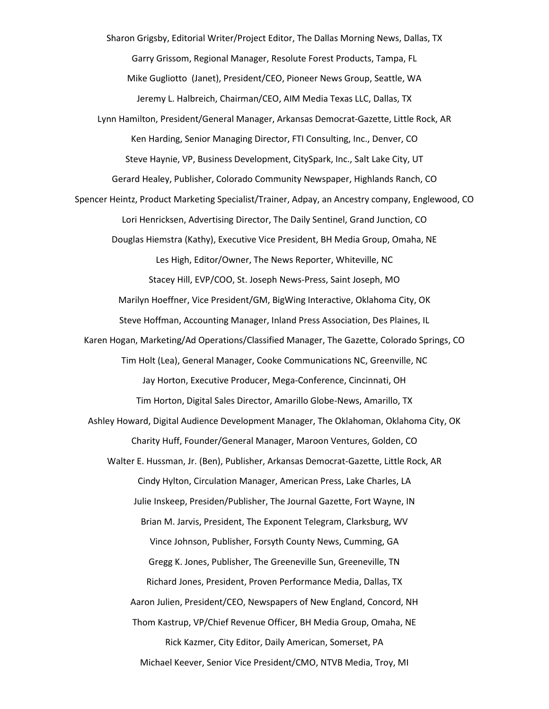Sharon Grigsby, Editorial Writer/Project Editor, The Dallas Morning News, Dallas, TX Garry Grissom, Regional Manager, Resolute Forest Products, Tampa, FL Mike Gugliotto (Janet), President/CEO, Pioneer News Group, Seattle, WA Jeremy L. Halbreich, Chairman/CEO, AIM Media Texas LLC, Dallas, TX Lynn Hamilton, President/General Manager, Arkansas Democrat-Gazette, Little Rock, AR Ken Harding, Senior Managing Director, FTI Consulting, Inc., Denver, CO Steve Haynie, VP, Business Development, CitySpark, Inc., Salt Lake City, UT Gerard Healey, Publisher, Colorado Community Newspaper, Highlands Ranch, CO Spencer Heintz, Product Marketing Specialist/Trainer, Adpay, an Ancestry company, Englewood, CO Lori Henricksen, Advertising Director, The Daily Sentinel, Grand Junction, CO Douglas Hiemstra (Kathy), Executive Vice President, BH Media Group, Omaha, NE Les High, Editor/Owner, The News Reporter, Whiteville, NC Stacey Hill, EVP/COO, St. Joseph News-Press, Saint Joseph, MO Marilyn Hoeffner, Vice President/GM, BigWing Interactive, Oklahoma City, OK Steve Hoffman, Accounting Manager, Inland Press Association, Des Plaines, IL Karen Hogan, Marketing/Ad Operations/Classified Manager, The Gazette, Colorado Springs, CO Tim Holt (Lea), General Manager, Cooke Communications NC, Greenville, NC Jay Horton, Executive Producer, Mega-Conference, Cincinnati, OH Tim Horton, Digital Sales Director, Amarillo Globe-News, Amarillo, TX Ashley Howard, Digital Audience Development Manager, The Oklahoman, Oklahoma City, OK Charity Huff, Founder/General Manager, Maroon Ventures, Golden, CO Walter E. Hussman, Jr. (Ben), Publisher, Arkansas Democrat-Gazette, Little Rock, AR Cindy Hylton, Circulation Manager, American Press, Lake Charles, LA Julie Inskeep, Presiden/Publisher, The Journal Gazette, Fort Wayne, IN Brian M. Jarvis, President, The Exponent Telegram, Clarksburg, WV Vince Johnson, Publisher, Forsyth County News, Cumming, GA Gregg K. Jones, Publisher, The Greeneville Sun, Greeneville, TN Richard Jones, President, Proven Performance Media, Dallas, TX Aaron Julien, President/CEO, Newspapers of New England, Concord, NH Thom Kastrup, VP/Chief Revenue Officer, BH Media Group, Omaha, NE Rick Kazmer, City Editor, Daily American, Somerset, PA Michael Keever, Senior Vice President/CMO, NTVB Media, Troy, MI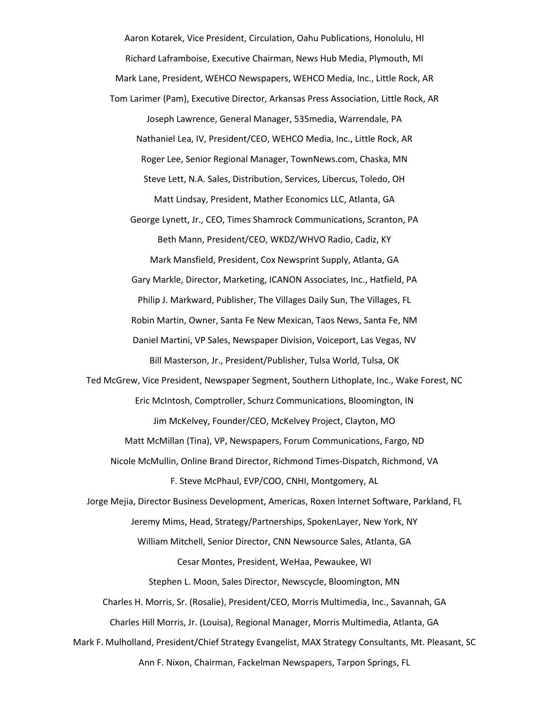Aaron Kotarek, Vice President, Circulation, Oahu Publications, Honolulu, HI Richard Laframboise, Executive Chairman, News Hub Media, Plymouth, MI Mark Lane, President, WEHCO Newspapers, WEHCO Media, Inc., Little Rock, AR Tom Larimer (Pam), Executive Director, Arkansas Press Association, Little Rock, AR Joseph Lawrence, General Manager, 535media, Warrendale, PA Nathaniel Lea, IV, President/CEO, WEHCO Media, Inc., Little Rock, AR Roger Lee, Senior Regional Manager, TownNews.com, Chaska, MN Steve Lett, N.A. Sales, Distribution, Services, Libercus, Toledo, OH Matt Lindsay, President, Mather Economics LLC, Atlanta, GA George Lynett, Jr., CEO, Times Shamrock Communications, Scranton, PA

Beth Mann, President/CEO, WKDZ/WHVO Radio, Cadiz, KY Mark Mansfield, President, Cox Newsprint Supply, Atlanta, GA Gary Markle, Director, Marketing, ICANON Associates, Inc., Hatfield, PA Philip J. Markward, Publisher, The Villages Daily Sun, The Villages, FL Robin Martin, Owner, Santa Fe New Mexican, Taos News, Santa Fe, NM Daniel Martini, VP Sales, Newspaper Division, Voiceport, Las Vegas, NV Bill Masterson, Jr., President/Publisher, Tulsa World, Tulsa, OK

Ted McGrew, Vice President, Newspaper Segment, Southern Lithoplate, Inc., Wake Forest, NC Eric McIntosh, Comptroller, Schurz Communications, Bloomington, IN Jim McKelvey, Founder/CEO, McKelvey Project, Clayton, MO Matt McMillan (Tina), VP, Newspapers, Forum Communications, Fargo, ND

Nicole McMullin, Online Brand Director, Richmond Times-Dispatch, Richmond, VA F. Steve McPhaul, EVP/COO, CNHI, Montgomery, AL

Jorge Mejia, Director Business Development, Americas, Roxen Internet Software, Parkland, FL Jeremy Mims, Head, Strategy/Partnerships, SpokenLayer, New York, NY William Mitchell, Senior Director, CNN Newsource Sales, Atlanta, GA Cesar Montes, President, WeHaa, Pewaukee, WI

Stephen L. Moon, Sales Director, Newscycle, Bloomington, MN

Charles H. Morris, Sr. (Rosalie), President/CEO, Morris Multimedia, Inc., Savannah, GA Charles Hill Morris, Jr. (Louisa), Regional Manager, Morris Multimedia, Atlanta, GA

Mark F. Mulholland, President/Chief Strategy Evangelist, MAX Strategy Consultants, Mt. Pleasant, SC Ann F. Nixon, Chairman, Fackelman Newspapers, Tarpon Springs, FL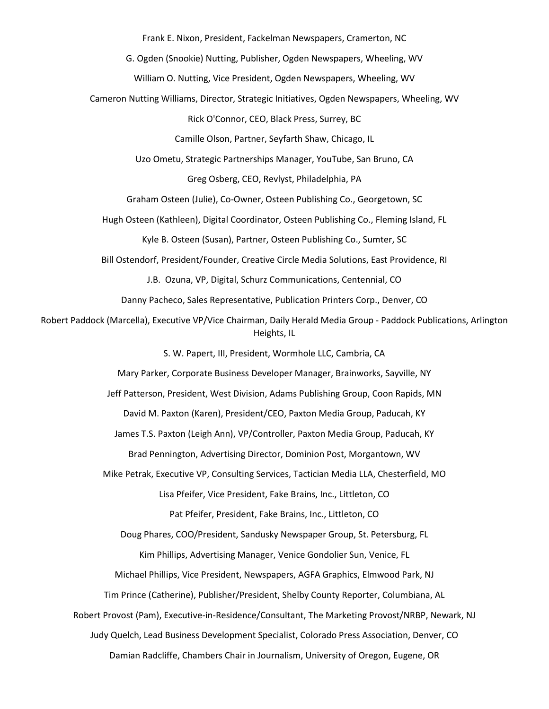Frank E. Nixon, President, Fackelman Newspapers, Cramerton, NC

G. Ogden (Snookie) Nutting, Publisher, Ogden Newspapers, Wheeling, WV

William O. Nutting, Vice President, Ogden Newspapers, Wheeling, WV

Cameron Nutting Williams, Director, Strategic Initiatives, Ogden Newspapers, Wheeling, WV

Rick O'Connor, CEO, Black Press, Surrey, BC

Camille Olson, Partner, Seyfarth Shaw, Chicago, IL

Uzo Ometu, Strategic Partnerships Manager, YouTube, San Bruno, CA

Greg Osberg, CEO, Revlyst, Philadelphia, PA

Graham Osteen (Julie), Co-Owner, Osteen Publishing Co., Georgetown, SC

Hugh Osteen (Kathleen), Digital Coordinator, Osteen Publishing Co., Fleming Island, FL

Kyle B. Osteen (Susan), Partner, Osteen Publishing Co., Sumter, SC

Bill Ostendorf, President/Founder, Creative Circle Media Solutions, East Providence, RI

J.B. Ozuna, VP, Digital, Schurz Communications, Centennial, CO

Danny Pacheco, Sales Representative, Publication Printers Corp., Denver, CO

Robert Paddock (Marcella), Executive VP/Vice Chairman, Daily Herald Media Group - Paddock Publications, Arlington Heights, IL

S. W. Papert, III, President, Wormhole LLC, Cambria, CA

Mary Parker, Corporate Business Developer Manager, Brainworks, Sayville, NY

Jeff Patterson, President, West Division, Adams Publishing Group, Coon Rapids, MN

David M. Paxton (Karen), President/CEO, Paxton Media Group, Paducah, KY

James T.S. Paxton (Leigh Ann), VP/Controller, Paxton Media Group, Paducah, KY

Brad Pennington, Advertising Director, Dominion Post, Morgantown, WV

Mike Petrak, Executive VP, Consulting Services, Tactician Media LLA, Chesterfield, MO Lisa Pfeifer, Vice President, Fake Brains, Inc., Littleton, CO

Pat Pfeifer, President, Fake Brains, Inc., Littleton, CO

Doug Phares, COO/President, Sandusky Newspaper Group, St. Petersburg, FL

Kim Phillips, Advertising Manager, Venice Gondolier Sun, Venice, FL

Michael Phillips, Vice President, Newspapers, AGFA Graphics, Elmwood Park, NJ

Tim Prince (Catherine), Publisher/President, Shelby County Reporter, Columbiana, AL

Robert Provost (Pam), Executive-in-Residence/Consultant, The Marketing Provost/NRBP, Newark, NJ

Judy Quelch, Lead Business Development Specialist, Colorado Press Association, Denver, CO

Damian Radcliffe, Chambers Chair in Journalism, University of Oregon, Eugene, OR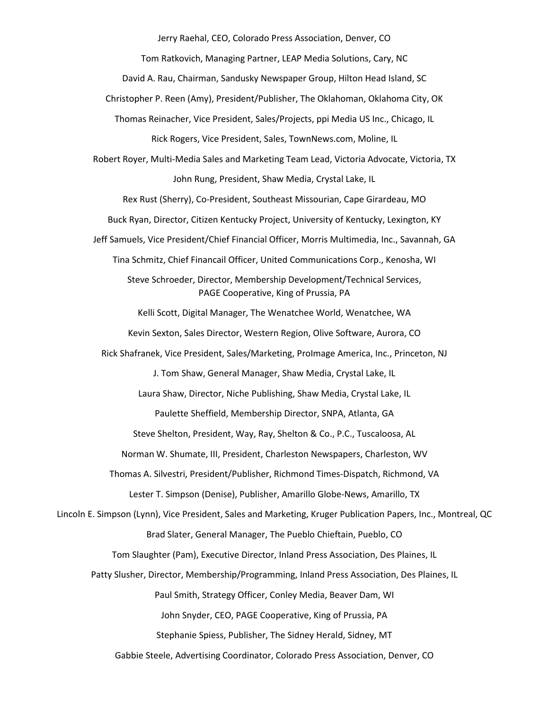Jerry Raehal, CEO, Colorado Press Association, Denver, CO

Tom Ratkovich, Managing Partner, LEAP Media Solutions, Cary, NC

David A. Rau, Chairman, Sandusky Newspaper Group, Hilton Head Island, SC

Christopher P. Reen (Amy), President/Publisher, The Oklahoman, Oklahoma City, OK

Thomas Reinacher, Vice President, Sales/Projects, ppi Media US Inc., Chicago, IL Rick Rogers, Vice President, Sales, TownNews.com, Moline, IL

Robert Royer, Multi-Media Sales and Marketing Team Lead, Victoria Advocate, Victoria, TX John Rung, President, Shaw Media, Crystal Lake, IL

Rex Rust (Sherry), Co-President, Southeast Missourian, Cape Girardeau, MO

Buck Ryan, Director, Citizen Kentucky Project, University of Kentucky, Lexington, KY

Jeff Samuels, Vice President/Chief Financial Officer, Morris Multimedia, Inc., Savannah, GA

Tina Schmitz, Chief Financail Officer, United Communications Corp., Kenosha, WI

Steve Schroeder, Director, Membership Development/Technical Services, PAGE Cooperative, King of Prussia, PA

Kelli Scott, Digital Manager, The Wenatchee World, Wenatchee, WA

Kevin Sexton, Sales Director, Western Region, Olive Software, Aurora, CO

Rick Shafranek, Vice President, Sales/Marketing, ProImage America, Inc., Princeton, NJ

J. Tom Shaw, General Manager, Shaw Media, Crystal Lake, IL

Laura Shaw, Director, Niche Publishing, Shaw Media, Crystal Lake, IL

Paulette Sheffield, Membership Director, SNPA, Atlanta, GA

Steve Shelton, President, Way, Ray, Shelton & Co., P.C., Tuscaloosa, AL

Norman W. Shumate, III, President, Charleston Newspapers, Charleston, WV

Thomas A. Silvestri, President/Publisher, Richmond Times-Dispatch, Richmond, VA

Lester T. Simpson (Denise), Publisher, Amarillo Globe-News, Amarillo, TX

Lincoln E. Simpson (Lynn), Vice President, Sales and Marketing, Kruger Publication Papers, Inc., Montreal, QC Brad Slater, General Manager, The Pueblo Chieftain, Pueblo, CO

Tom Slaughter (Pam), Executive Director, Inland Press Association, Des Plaines, IL

Patty Slusher, Director, Membership/Programming, Inland Press Association, Des Plaines, IL

Paul Smith, Strategy Officer, Conley Media, Beaver Dam, WI

John Snyder, CEO, PAGE Cooperative, King of Prussia, PA

Stephanie Spiess, Publisher, The Sidney Herald, Sidney, MT

Gabbie Steele, Advertising Coordinator, Colorado Press Association, Denver, CO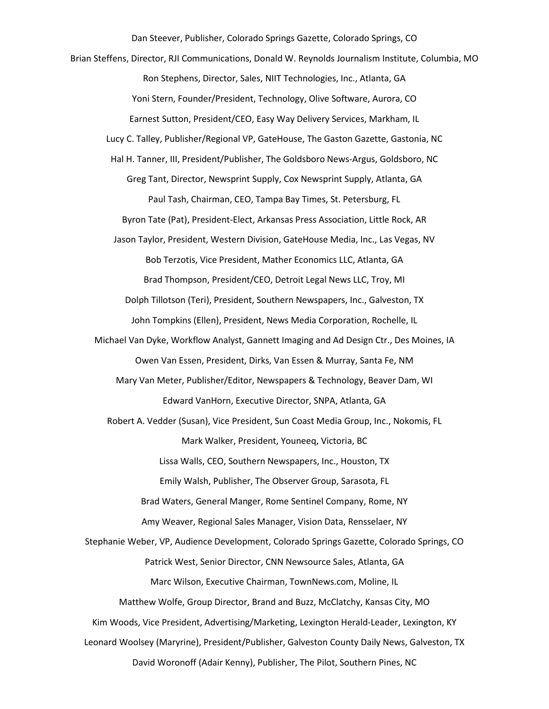Dan Steever, Publisher, Colorado Springs Gazette, Colorado Springs, CO Brian Steffens, Director, RJI Communications, Donald W. Reynolds Journalism Institute, Columbia, MO Ron Stephens, Director, Sales, NIIT Technologies, Inc., Atlanta, GA Yoni Stern, Founder/President, Technology, Olive Software, Aurora, CO Earnest Sutton, President/CEO, Easy Way Delivery Services, Markham, IL Lucy C. Talley, Publisher/Regional VP, GateHouse, The Gaston Gazette, Gastonia, NC Hal H. Tanner, III, President/Publisher, The Goldsboro News-Argus, Goldsboro, NC Greg Tant, Director, Newsprint Supply, Cox Newsprint Supply, Atlanta, GA Paul Tash, Chairman, CEO, Tampa Bay Times, St. Petersburg, FL Byron Tate (Pat), President-Elect, Arkansas Press Association, Little Rock, AR Jason Taylor, President, Western Division, GateHouse Media, Inc., Las Vegas, NV Bob Terzotis, Vice President, Mather Economics LLC, Atlanta, GA Brad Thompson, President/CEO, Detroit Legal News LLC, Troy, MI Dolph Tillotson (Teri), President, Southern Newspapers, Inc., Galveston, TX John Tompkins (Ellen), President, News Media Corporation, Rochelle, IL Michael Van Dyke, Workflow Analyst, Gannett Imaging and Ad Design Ctr., Des Moines, IA Owen Van Essen, President, Dirks, Van Essen & Murray, Santa Fe, NM Mary Van Meter, Publisher/Editor, Newspapers & Technology, Beaver Dam, WI Edward VanHorn, Executive Director, SNPA, Atlanta, GA Robert A. Vedder (Susan), Vice President, Sun Coast Media Group, Inc., Nokomis, FL Mark Walker, President, Youneeq, Victoria, BC Lissa Walls, CEO, Southern Newspapers, Inc., Houston, TX Emily Walsh, Publisher, The Observer Group, Sarasota, FL Brad Waters, General Manger, Rome Sentinel Company, Rome, NY Amy Weaver, Regional Sales Manager, Vision Data, Rensselaer, NY Stephanie Weber, VP, Audience Development, Colorado Springs Gazette, Colorado Springs, CO Patrick West, Senior Director, CNN Newsource Sales, Atlanta, GA Marc Wilson, Executive Chairman, TownNews.com, Moline, IL Matthew Wolfe, Group Director, Brand and Buzz, McClatchy, Kansas City, MO Kim Woods, Vice President, Advertising/Marketing, Lexington Herald-Leader, Lexington, KY Leonard Woolsey (Maryrine), President/Publisher, Galveston County Daily News, Galveston, TX David Woronoff (Adair Kenny), Publisher, The Pilot, Southern Pines, NC